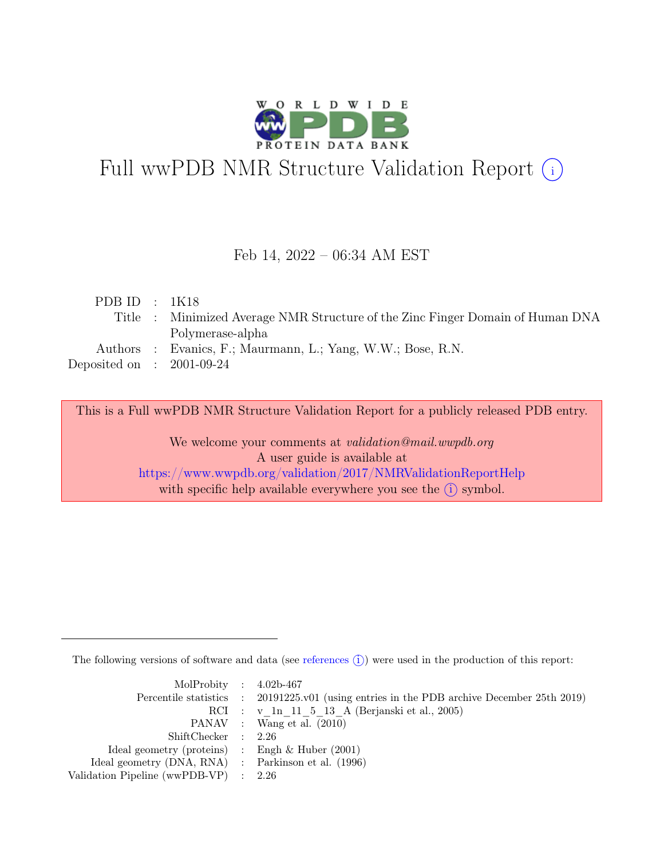

# Full wwPDB NMR Structure Validation Report (i)

### Feb 14, 2022 – 06:34 AM EST

| PDB ID : $1K18$             |                                                                                |
|-----------------------------|--------------------------------------------------------------------------------|
|                             | Title : Minimized Average NMR Structure of the Zinc Finger Domain of Human DNA |
|                             | Polymerase-alpha                                                               |
|                             | Authors : Evanics, F.; Maurmann, L.; Yang, W.W.; Bose, R.N.                    |
| Deposited on : $2001-09-24$ |                                                                                |
|                             |                                                                                |

This is a Full wwPDB NMR Structure Validation Report for a publicly released PDB entry.

We welcome your comments at *validation@mail.wwpdb.org* A user guide is available at <https://www.wwpdb.org/validation/2017/NMRValidationReportHelp> with specific help available everywhere you see the  $(i)$  symbol.

The following versions of software and data (see [references](https://www.wwpdb.org/validation/2017/NMRValidationReportHelp#references)  $\hat{I}$ ) were used in the production of this report:

| MolProbity : $4.02b-467$                            |                                                                                            |
|-----------------------------------------------------|--------------------------------------------------------------------------------------------|
|                                                     | Percentile statistics : 20191225.v01 (using entries in the PDB archive December 25th 2019) |
|                                                     | RCI : v 1n 11 5 13 A (Berjanski et al., 2005)                                              |
|                                                     | PANAV : Wang et al. (2010)                                                                 |
| ShiftChecker : 2.26                                 |                                                                                            |
| Ideal geometry (proteins) : Engh $\&$ Huber (2001)  |                                                                                            |
| Ideal geometry (DNA, RNA) : Parkinson et al. (1996) |                                                                                            |
| Validation Pipeline (wwPDB-VP) $\therefore$ 2.26    |                                                                                            |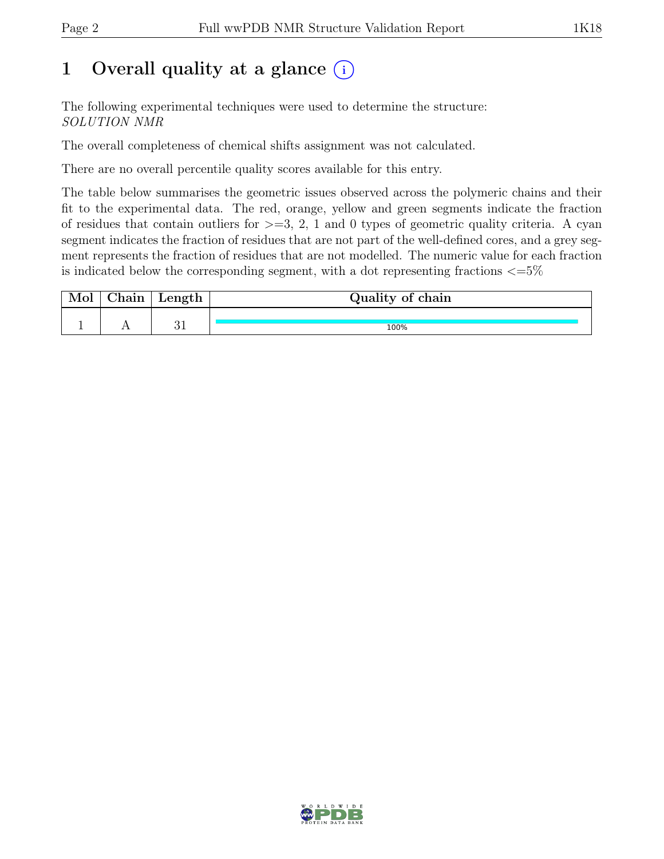## 1 Overall quality at a glance  $(i)$

The following experimental techniques were used to determine the structure: SOLUTION NMR

The overall completeness of chemical shifts assignment was not calculated.

There are no overall percentile quality scores available for this entry.

The table below summarises the geometric issues observed across the polymeric chains and their fit to the experimental data. The red, orange, yellow and green segments indicate the fraction of residues that contain outliers for  $\geq$ =3, 2, 1 and 0 types of geometric quality criteria. A cyan segment indicates the fraction of residues that are not part of the well-defined cores, and a grey segment represents the fraction of residues that are not modelled. The numeric value for each fraction is indicated below the corresponding segment, with a dot representing fractions  $\epsilon = 5\%$ 

| 01n | Length           | Quality of chain |
|-----|------------------|------------------|
|     |                  |                  |
|     | $^{\circ}$<br>ບ⊥ | 100%             |

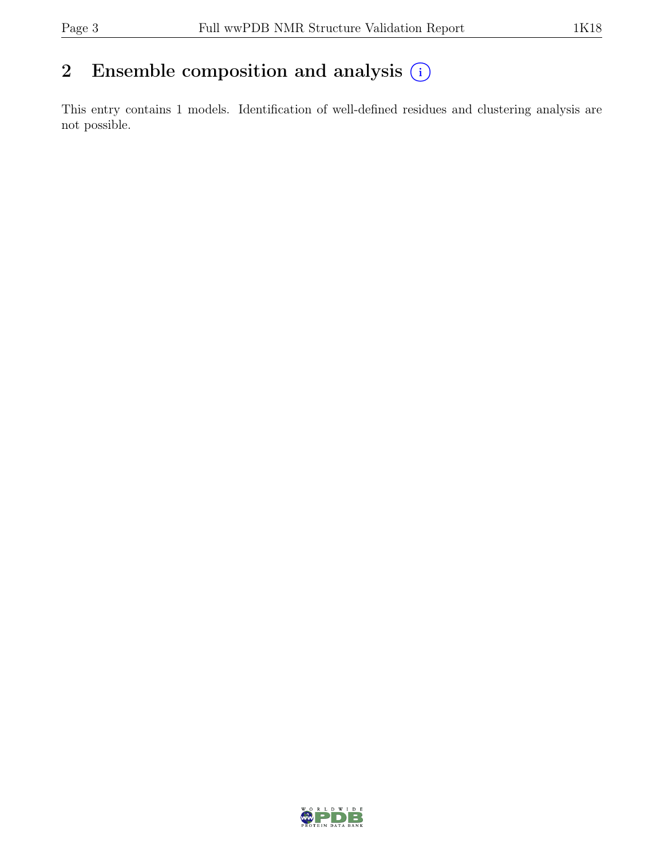## 2 Ensemble composition and analysis  $(i)$

This entry contains 1 models. Identification of well-defined residues and clustering analysis are not possible.

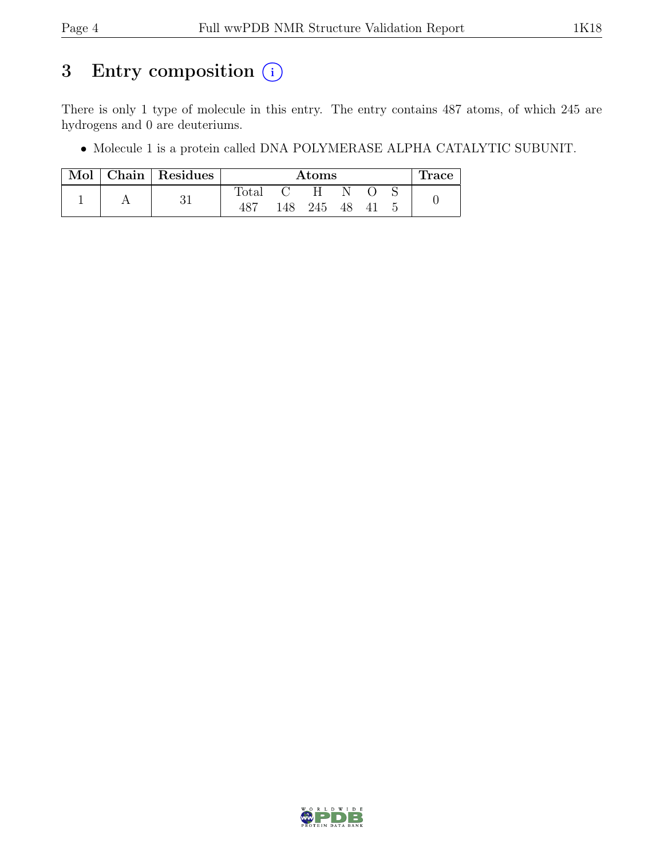## 3 Entry composition (i)

There is only 1 type of molecule in this entry. The entry contains 487 atoms, of which 245 are hydrogens and 0 are deuteriums.

• Molecule 1 is a protein called DNA POLYMERASE ALPHA CATALYTIC SUBUNIT.

|  | Mol   Chain   Residues | Atoms          |     |     |    |  |  | Trace |
|--|------------------------|----------------|-----|-----|----|--|--|-------|
|  |                        | $\text{Total}$ |     | H   |    |  |  |       |
|  |                        |                | 148 | 245 | 48 |  |  |       |

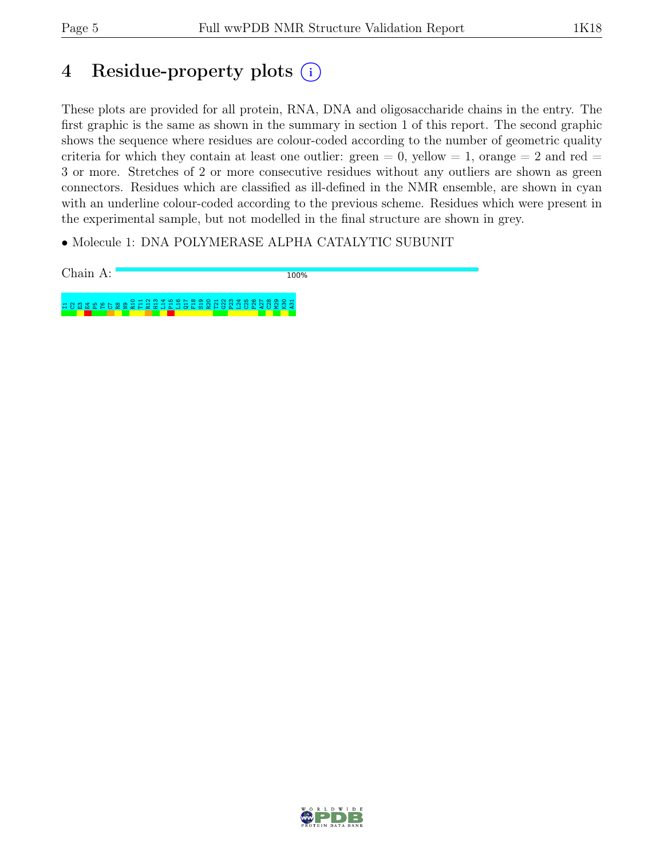## 4 Residue-property plots (i)

These plots are provided for all protein, RNA, DNA and oligosaccharide chains in the entry. The first graphic is the same as shown in the summary in section 1 of this report. The second graphic shows the sequence where residues are colour-coded according to the number of geometric quality criteria for which they contain at least one outlier: green  $= 0$ , yellow  $= 1$ , orange  $= 2$  and red  $=$ 3 or more. Stretches of 2 or more consecutive residues without any outliers are shown as green connectors. Residues which are classified as ill-defined in the NMR ensemble, are shown in cyan with an underline colour-coded according to the previous scheme. Residues which were present in the experimental sample, but not modelled in the final structure are shown in grey.

• Molecule 1: DNA POLYMERASE ALPHA CATALYTIC SUBUNIT

Chain A: 100% 108 18 20 20 21 21 21 21 22 22 23 23 24 25 26 27 27 28 27 28 27 28 27 28 27 28 27 28 27 28 27 28 27 28 27 28 2 ខ្ល<br>ខ្លួ ខ្ល

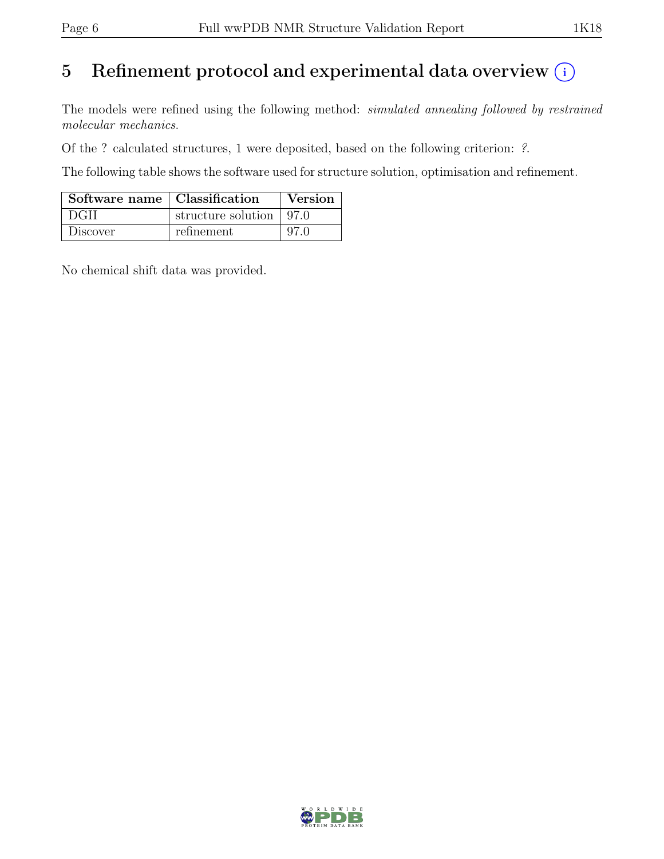## 5 Refinement protocol and experimental data overview  $(i)$

The models were refined using the following method: simulated annealing followed by restrained molecular mechanics.

Of the ? calculated structures, 1 were deposited, based on the following criterion: ?.

The following table shows the software used for structure solution, optimisation and refinement.

| Software name   Classification |                           | Version |
|--------------------------------|---------------------------|---------|
| DGII                           | structure solution   97.0 |         |
| Discover                       | refinement                | 97 O    |

No chemical shift data was provided.

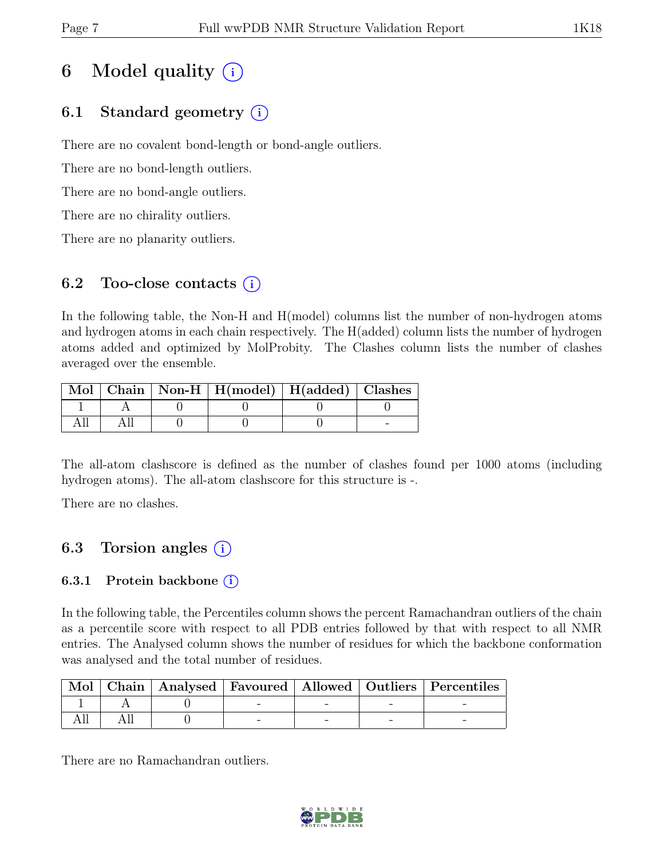## 6 Model quality  $(i)$

## 6.1 Standard geometry (i)

There are no covalent bond-length or bond-angle outliers.

There are no bond-length outliers.

There are no bond-angle outliers.

There are no chirality outliers.

There are no planarity outliers.

### 6.2 Too-close contacts  $(i)$

In the following table, the Non-H and H(model) columns list the number of non-hydrogen atoms and hydrogen atoms in each chain respectively. The H(added) column lists the number of hydrogen atoms added and optimized by MolProbity. The Clashes column lists the number of clashes averaged over the ensemble.

|  | Mol   Chain   Non-H   H(model)   H(added)   Clashes |  |
|--|-----------------------------------------------------|--|
|  |                                                     |  |
|  |                                                     |  |

The all-atom clashscore is defined as the number of clashes found per 1000 atoms (including hydrogen atoms). The all-atom clashscore for this structure is -.

There are no clashes.

### 6.3 Torsion angles  $(i)$

### 6.3.1 Protein backbone  $(i)$

In the following table, the Percentiles column shows the percent Ramachandran outliers of the chain as a percentile score with respect to all PDB entries followed by that with respect to all NMR entries. The Analysed column shows the number of residues for which the backbone conformation was analysed and the total number of residues.

|  |  |  | Mol   Chain   Analysed   Favoured   Allowed   Outliers   Percentiles |
|--|--|--|----------------------------------------------------------------------|
|  |  |  |                                                                      |
|  |  |  |                                                                      |

There are no Ramachandran outliers.

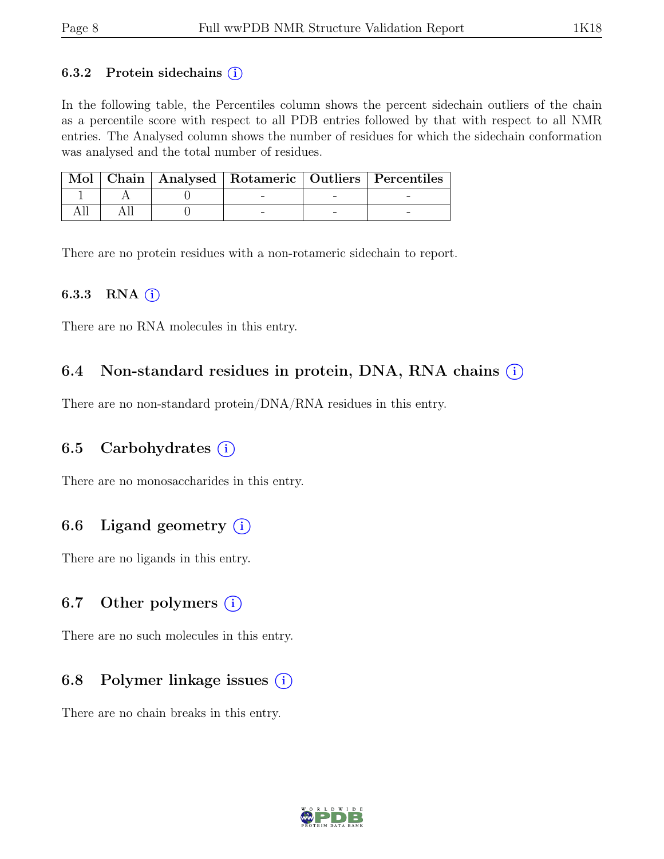#### 6.3.2 Protein sidechains  $(i)$

In the following table, the Percentiles column shows the percent sidechain outliers of the chain as a percentile score with respect to all PDB entries followed by that with respect to all NMR entries. The Analysed column shows the number of residues for which the sidechain conformation was analysed and the total number of residues.

|  |  | Mol   Chain   Analysed   Rotameric   Outliers   Percentiles |
|--|--|-------------------------------------------------------------|
|  |  |                                                             |
|  |  |                                                             |

There are no protein residues with a non-rotameric sidechain to report.

#### 6.3.3 RNA  $(i)$

There are no RNA molecules in this entry.

### 6.4 Non-standard residues in protein, DNA, RNA chains  $(i)$

There are no non-standard protein/DNA/RNA residues in this entry.

### 6.5 Carbohydrates  $(i)$

There are no monosaccharides in this entry.

### 6.6 Ligand geometry  $(i)$

There are no ligands in this entry.

#### 6.7 Other polymers  $(i)$

There are no such molecules in this entry.

### 6.8 Polymer linkage issues  $(i)$

There are no chain breaks in this entry.